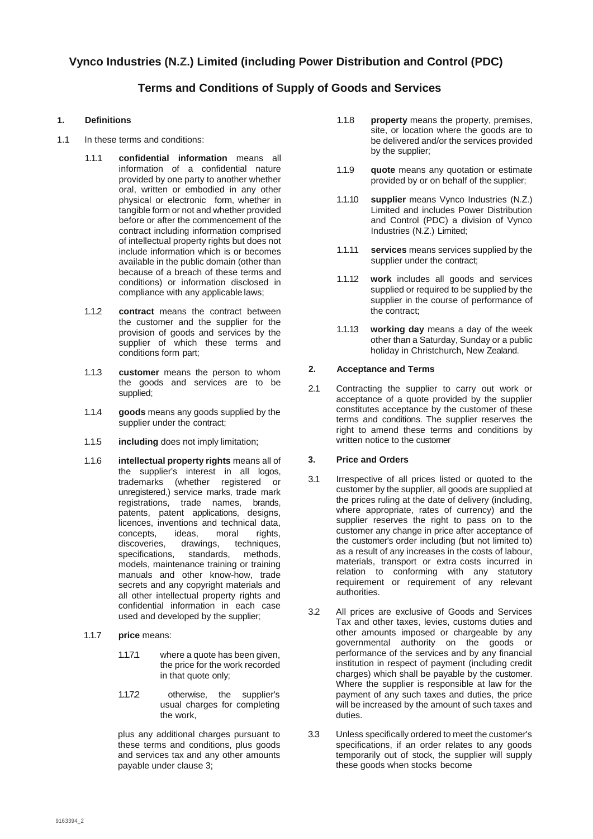# **Vynco Industries (N.Z.) Limited (including Power Distribution and Control (PDC)**

# **Terms and Conditions of Supply of Goods and Services**

#### **1. Definitions**

- 1.1 In these terms and conditions:
	- 1.1.1 **confidential information** means all information of a confidential nature provided by one party to another whether oral, written or embodied in any other physical or electronic form, whether in tangible form or not and whether provided before or after the commencement of the contract including information comprised of intellectual property rights but does not include information which is or becomes available in the public domain (other than because of a breach of these terms and conditions) or information disclosed in compliance with any applicable laws;
	- 1.1.2 **contract** means the contract between the customer and the supplier for the provision of goods and services by the supplier of which these terms and conditions form part;
	- 1.1.3 **customer** means the person to whom the goods and services are to be supplied;
	- 1.1.4 **goods** means any goods supplied by the supplier under the contract;
	- 1.1.5 **including** does not imply limitation;
	- 1.1.6 **intellectual property rights** means all of the supplier's interest in all logos, trademarks (whether registered or unregistered,) service marks, trade mark registrations, trade names, brands, patents, patent applications, designs, licences, inventions and technical data,<br>concepts, ideas, moral rights, concepts, ideas, moral rights,<br>discoveries, drawings, techniques, techniques, specifications, standards, methods, models, maintenance training or training manuals and other know-how, trade secrets and any copyright materials and all other intellectual property rights and confidential information in each case used and developed by the supplier;
	- 1.1.7 **price** means:
		- 1.1.7.1 where a quote has been given, the price for the work recorded in that quote only;
		- 1.1.7.2 otherwise, the supplier's usual charges for completing the work,

plus any additional charges pursuant to these terms and conditions, plus goods and services tax and any other amounts payable under clause 3;

- 1.1.8 **property** means the property, premises, site, or location where the goods are to be delivered and/or the services provided by the supplier;
- 1.1.9 **quote** means any quotation or estimate provided by or on behalf of the supplier;
- 1.1.10 **supplier** means Vynco Industries (N.Z.) Limited and includes Power Distribution and Control (PDC) a division of Vynco Industries (N.Z.) Limited;
- 1.1.11 **services** means services supplied by the supplier under the contract;
- 1.1.12 **work** includes all goods and services supplied or required to be supplied by the supplier in the course of performance of the contract;
- 1.1.13 **working day** means a day of the week other than a Saturday, Sunday or a public holiday in Christchurch, New Zealand.

### **2. Acceptance and Terms**

2.1 Contracting the supplier to carry out work or acceptance of a quote provided by the supplier constitutes acceptance by the customer of these terms and conditions. The supplier reserves the right to amend these terms and conditions by written notice to the customer

# **3. Price and Orders**

- 3.1 Irrespective of all prices listed or quoted to the customer by the supplier, all goods are supplied at the prices ruling at the date of delivery (including, where appropriate, rates of currency) and the supplier reserves the right to pass on to the customer any change in price after acceptance of the customer's order including (but not limited to) as a result of any increases in the costs of labour, materials, transport or extra costs incurred in relation to conforming with any statutory requirement or requirement of any relevant authorities.
- 3.2 All prices are exclusive of Goods and Services Tax and other taxes, levies, customs duties and other amounts imposed or chargeable by any governmental authority on the goods or performance of the services and by any financial institution in respect of payment (including credit charges) which shall be payable by the customer. Where the supplier is responsible at law for the payment of any such taxes and duties, the price will be increased by the amount of such taxes and duties.
- 3.3 Unless specifically ordered to meet the customer's specifications, if an order relates to any goods temporarily out of stock, the supplier will supply these goods when stocks become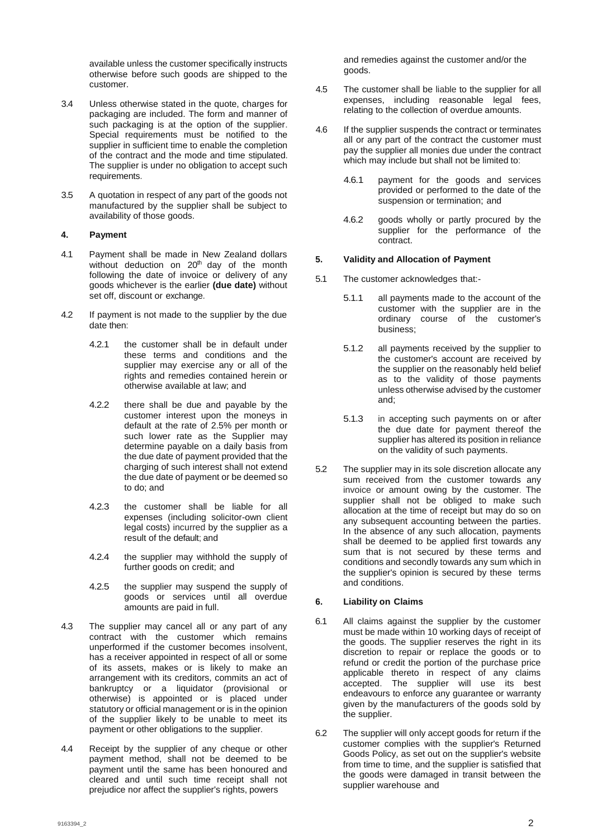available unless the customer specifically instructs otherwise before such goods are shipped to the customer.

- 3.4 Unless otherwise stated in the quote, charges for packaging are included. The form and manner of such packaging is at the option of the supplier. Special requirements must be notified to the supplier in sufficient time to enable the completion of the contract and the mode and time stipulated. The supplier is under no obligation to accept such requirements.
- 3.5 A quotation in respect of any part of the goods not manufactured by the supplier shall be subject to availability of those goods.

### **4. Payment**

- 4.1 Payment shall be made in New Zealand dollars without deduction on  $20<sup>th</sup>$  day of the month following the date of invoice or delivery of any goods whichever is the earlier **(due date)** without set off, discount or exchange.
- 4.2 If payment is not made to the supplier by the due date then:
	- 4.2.1 the customer shall be in default under these terms and conditions and the supplier may exercise any or all of the rights and remedies contained herein or otherwise available at law; and
	- 4.2.2 there shall be due and payable by the customer interest upon the moneys in default at the rate of 2.5% per month or such lower rate as the Supplier may determine payable on a daily basis from the due date of payment provided that the charging of such interest shall not extend the due date of payment or be deemed so to do; and
	- 4.2.3 the customer shall be liable for all expenses (including solicitor-own client legal costs) incurred by the supplier as a result of the default; and
	- 4.2.4 the supplier may withhold the supply of further goods on credit; and
	- 4.2.5 the supplier may suspend the supply of goods or services until all overdue amounts are paid in full.
- 4.3 The supplier may cancel all or any part of any contract with the customer which remains unperformed if the customer becomes insolvent, has a receiver appointed in respect of all or some of its assets, makes or is likely to make an arrangement with its creditors, commits an act of bankruptcy or a liquidator (provisional or otherwise) is appointed or is placed under statutory or official management or is in the opinion of the supplier likely to be unable to meet its payment or other obligations to the supplier.
- 4.4 Receipt by the supplier of any cheque or other payment method, shall not be deemed to be payment until the same has been honoured and cleared and until such time receipt shall not prejudice nor affect the supplier's rights, powers

and remedies against the customer and/or the goods.

- 4.5 The customer shall be liable to the supplier for all expenses, including reasonable legal fees, relating to the collection of overdue amounts.
- 4.6 If the supplier suspends the contract or terminates all or any part of the contract the customer must pay the supplier all monies due under the contract which may include but shall not be limited to:
	- 4.6.1 payment for the goods and services provided or performed to the date of the suspension or termination; and
	- 4.6.2 goods wholly or partly procured by the supplier for the performance of the contract.

# **5. Validity and Allocation of Payment**

- 5.1 The customer acknowledges that:-
	- 5.1.1 all payments made to the account of the customer with the supplier are in the ordinary course of the customer's business;
	- 5.1.2 all payments received by the supplier to the customer's account are received by the supplier on the reasonably held belief as to the validity of those payments unless otherwise advised by the customer and;
	- 5.1.3 in accepting such payments on or after the due date for payment thereof the supplier has altered its position in reliance on the validity of such payments.
- 5.2 The supplier may in its sole discretion allocate any sum received from the customer towards any invoice or amount owing by the customer. The supplier shall not be obliged to make such allocation at the time of receipt but may do so on any subsequent accounting between the parties. In the absence of any such allocation, payments shall be deemed to be applied first towards any sum that is not secured by these terms and conditions and secondly towards any sum which in the supplier's opinion is secured by these terms and conditions.

# **6. Liability on Claims**

- 6.1 All claims against the supplier by the customer must be made within 10 working days of receipt of the goods. The supplier reserves the right in its discretion to repair or replace the goods or to refund or credit the portion of the purchase price applicable thereto in respect of any claims accepted. The supplier will use its best endeavours to enforce any guarantee or warranty given by the manufacturers of the goods sold by the supplier.
- 6.2 The supplier will only accept goods for return if the customer complies with the supplier's Returned Goods Policy, as set out on the supplier's website from time to time, and the supplier is satisfied that the goods were damaged in transit between the supplier warehouse and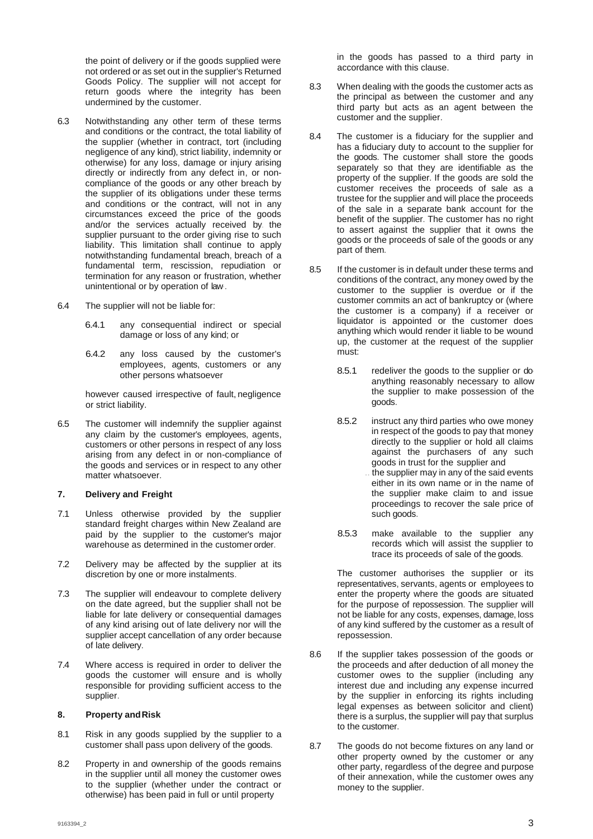the point of delivery or if the goods supplied were not ordered or as set out in the supplier's Returned Goods Policy. The supplier will not accept for return goods where the integrity has been undermined by the customer.

- 6.3 Notwithstanding any other term of these terms and conditions or the contract, the total liability of the supplier (whether in contract, tort (including negligence of any kind), strict liability, indemnity or otherwise) for any loss, damage or injury arising directly or indirectly from any defect in, or noncompliance of the goods or any other breach by the supplier of its obligations under these terms and conditions or the contract, will not in any circumstances exceed the price of the goods and/or the services actually received by. the supplier pursuant to the order giving rise to such liability. This limitation shall continue to apply notwithstanding fundamental breach, breach of a fundamental term, rescission, repudiation or termination for any reason or frustration, whether unintentional or by operation of law·.
- 6.4 The supplier will not be liable for:
	- 6.4.1 any consequential indirect or special damage or loss of any kind; or
	- 6.4.2 any loss caused by the customer's employees, agents, customers or any other persons whatsoever

however caused irrespective of fault, negligence or strict liability.

6.5 The customer will indemnify the supplier against any claim by the customer's employees, agents, customers or other persons in respect of any loss arising from any defect in or non-compliance of the goods and services or in respect to any other matter whatsoever.

#### **7. Delivery and Freight**

- 7.1 Unless otherwise provided by the supplier standard freight charges within New Zealand are paid by the supplier to the customer's major warehouse as determined in the customer order.
- 7.2 Delivery may be affected by the supplier at its discretion by one or more instalments.
- 7.3 The supplier will endeavour to complete delivery on the date agreed, but the supplier shall not be liable for late delivery or consequential damages of any kind arising out of late delivery nor will the supplier accept cancellation of any order because of late delivery.
- 7.4 Where access is required in order to deliver the goods the customer will ensure and is wholly responsible for providing sufficient access to the supplier.

#### **8. Property andRisk**

- 8.1 Risk in any goods supplied by the supplier to a customer shall pass upon delivery of the goods.
- 8.2 Property in and ownership of the goods remains in the supplier until all money the customer owes to the supplier (whether under the contract or otherwise) has been paid in full or until property

in the goods has passed to a third party in accordance with this clause.

- 8.3 When dealing with the goods the customer acts as the principal as between the customer and any third party but acts as an agent between the customer and the supplier.
- 8.4 The customer is a fiduciary for the supplier and has a fiduciary duty to account to the supplier for the goods. The customer shall store the goods separately so that they are identifiable as the property of the supplier. If the goods are sold the customer receives the proceeds of sale as a trustee for the supplier and will place the proceeds of the sale in a separate bank account for the benefit of the supplier. The customer has no right to assert against the supplier that it owns the goods or the proceeds of sale of the goods or any part of them.
- 8.5 If the customer is in default under these terms and conditions of the contract, any money owed by the customer to the supplier is overdue or if the customer commits an act of bankruptcy or (where the customer is a company) if a receiver or liquidator is appointed or the customer does anything which would render it liable to be wound up, the customer at the request of the supplier must:
	- 8.5.1 redeliver the goods to the supplier or doanything reasonably necessary to allow the supplier to make possession of the goods.
	- 8.5.2 instruct any third parties who owe money in respect of the goods to pay that money directly to the supplier or hold all claims against the purchasers of any such goods in trust for the supplier and
		- the supplier may in any of the said events either in its own name or in the name of the supplier make claim to and issue proceedings to recover the sale price of such goods.
	- 8.5.3 make available to the supplier any records which will assist the supplier to trace its proceeds of sale of the goods.

The customer authorises the supplier or its representatives, servants, agents or employees to enter the property where the goods are situated for the purpose of repossession. The supplier will not be liable for any costs, expenses, damage, loss of any kind suffered by the customer as a result of repossession.

- 8.6 If the supplier takes possession of the goods or the proceeds and after deduction of all money the customer owes to the supplier (including any interest due and including any expense incurred by the supplier in enforcing its rights including legal expenses as between solicitor and client) there is a surplus, the supplier will pay that surplus to the customer.
- 8.7 The goods do not become fixtures on any land or other property owned by the customer or any other party, regardless of the degree and purpose of their annexation, while the customer owes any money to the supplier.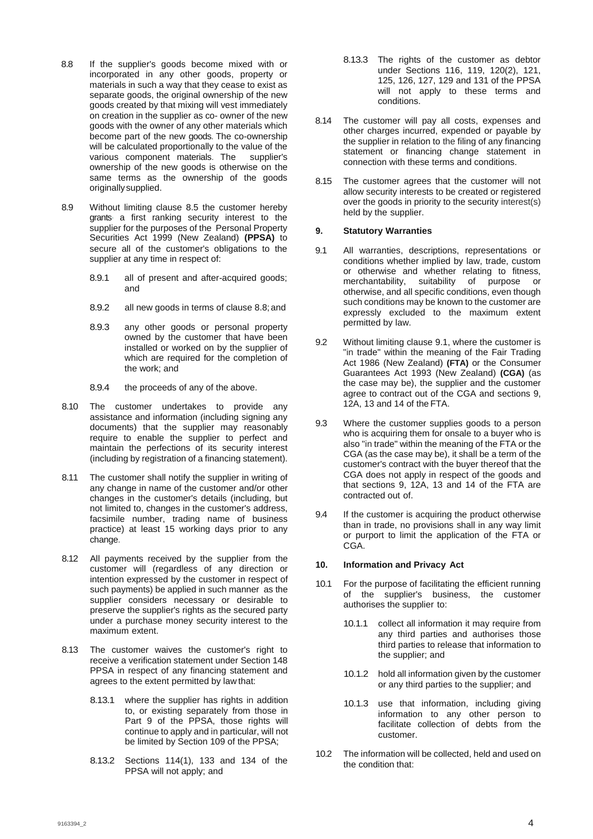- 8.8 If the supplier's goods become mixed with or incorporated in any other goods, property or materials in such a way that they cease to exist as separate goods, the original ownership of the new goods created by that mixing will vest immediately on creation in the supplier as co- owner of the new goods with the owner of any other materials which become part of the new goods. The co-ownership will be calculated proportionally to the value of the various component materials. The supplier's various component materials. The ownership of the new goods is otherwise on the same terms as the ownership of the goods originallysupplied.
- 8.9 Without limiting clause 8.5 the customer hereby grants· a first ranking security interest to the supplier for the purposes of the Personal Property Securities Act 1999 (New Zealand) **(PPSA)** to secure all of the customer's obligations to the supplier at any time in respect of:
	- 8.9.1 all of present and after-acquired goods; and
	- 8.9.2 all new goods in terms of clause 8.8; and
	- 8.9.3 any other goods or personal property owned by the customer that have been installed or worked on by the supplier of which are required for the completion of the work; and
	- 8.9.4 the proceeds of any of the above.
- 8.10 The customer undertakes to provide any assistance and information (including signing any documents) that the supplier may reasonably require to enable the supplier to perfect and maintain the perfections of its security interest (including by registration of a financing statement).
- 8.11 The customer shall notify the supplier in writing of any change in name of the customer and/or other changes in the customer's details (including, but not limited to, changes in the customer's address, facsimile number, trading name of business practice) at least 15 working days prior to any change.
- 8.12 All payments received by the supplier from the customer will (regardless of any direction or intention expressed by the customer in respect of such payments) be applied in such manner as the supplier considers necessary or desirable to preserve the supplier's rights as the secured party under a purchase money security interest to the maximum extent.
- 8.13 The customer waives the customer's right to receive a verification statement under Section 148 PPSA in respect of any financing statement and agrees to the extent permitted by law that:
	- 8.13.1 where the supplier has rights in addition to, or existing separately from those in Part 9 of the PPSA, those rights will continue to apply and in particular, will not be limited by Section 109 of the PPSA;
	- 8.13.2 Sections 114(1), 133 and 134 of the PPSA will not apply; and
- 8.13.3 The rights of the customer as debtor under Sections 116, 119, 120(2), 121, 125, 126, 127, 129 and 131 of the PPSA will not apply to these terms and conditions.
- 8.14 The customer will pay all costs, expenses and other charges incurred, expended or payable by the supplier in relation to the filing of any financing statement or financing change statement in connection with these terms and conditions.
- 8.15 The customer agrees that the customer will not allow security interests to be created or registered over the goods in priority to the security interest(s) held by the supplier.

#### **9. Statutory Warranties**

- 9.1 All warranties, descriptions, representations or conditions whether implied by law, trade, custom or otherwise and whether relating to fitness, merchantability, suitability of purpose or otherwise, and all specific conditions, even though such conditions may be known to the customer are expressly excluded to the maximum extent permitted by law.
- 9.2 Without limiting clause 9.1, where the customer is "in trade" within the meaning of the Fair Trading Act 1986 (New Zealand) **(FTA)** or the Consumer Guarantees Act 1993 (New Zealand) **(CGA)** (as the case may be), the supplier and the customer agree to contract out of the CGA and sections 9, 12A, 13 and 14 of the FTA.
- 9.3 Where the customer supplies goods to a person who is acquiring them for onsale to a buyer who is also "in trade" within the meaning of the FTA or the CGA (as the case may be), it shall be a term of the customer's contract with the buyer thereof that the CGA does not apply in respect of the goods and that sections 9, 12A, 13 and 14 of the FTA are contracted out of.
- 9.4 If the customer is acquiring the product otherwise than in trade, no provisions shall in any way limit or purport to limit the application of the FTA or CGA.

#### **10. Information and Privacy Act**

- 10.1 For the purpose of facilitating the efficient running of the supplier's business, the customer authorises the supplier to:
	- 10.1.1 collect all information it may require from any third parties and authorises those third parties to release that information to the supplier; and
	- 10.1.2 hold all information given by the customer or any third parties to the supplier; and
	- 10.1.3 use that information, including giving information to any other person to facilitate collection of debts from the customer.
- 10.2 The information will be collected, held and used on the condition that: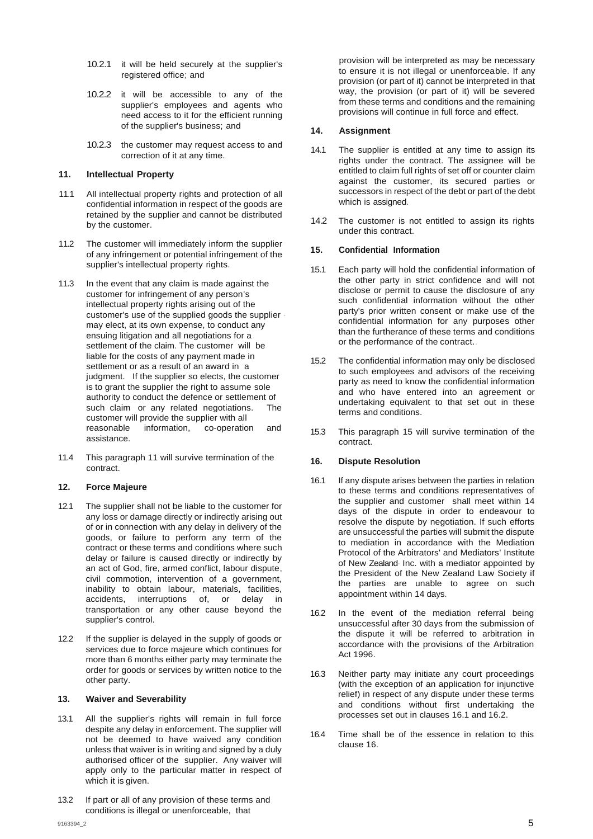- 10.2.1 it will be held securely at the supplier's registered office; and
- 10.2.2 it will be accessible to any of the supplier's employees and agents who need access to it for the efficient running of the supplier's business; and
- 10.2.3 the customer may request access to and correction of it at any time.

#### **11. Intellectual Property**

- 11.1 All intellectual property rights and protection of all confidential information in respect of the goods are retained by the supplier and cannot be distributed by the customer.
- 11.2 The customer will immediately inform the supplier of any infringement or potential infringement of the supplier's intellectual property rights.
- 11.3 In the event that any claim is made against the customer for infringement of any person's intellectual property rights arising out of the customer's use of the supplied goods the supplier · may elect, at its own expense, to conduct any ensuing litigation and all negotiations for a settlement of the claim. The customer will be liable for the costs of any payment made in settlement or as a result of an award in a judgment. If the supplier so elects, the customer is to grant the supplier the right to assume sole authority to conduct the defence or settlement of such claim or any related negotiations. The customer will provide the supplier with all reasonable information, co-operation and assistance.
- 11.4 This paragraph 11 will survive termination of the contract.

#### **12. Force Majeure**

- 12.1 The supplier shall not be liable to the customer for any loss or damage directly or indirectly arising out of or in connection with any delay in delivery of the goods, or failure to perform any term of the contract or these terms and conditions where such delay or failure is caused directly or indirectly by an act of God, fire, armed conflict, labour dispute, civil commotion, intervention of a government, inability to obtain labour, materials, facilities, accidents, interruptions of, or delay in interruptions of, or delay in transportation or any other cause beyond the supplier's control.
- 12.2 If the supplier is delayed in the supply of goods or services due to force majeure which continues for more than 6 months either party may terminate the order for goods or services by written notice to the other party.

#### **13. Waiver and Severability**

- 13.1 All the supplier's rights will remain in full force despite any delay in enforcement. The supplier will not be deemed to have waived any condition unless that waiver is in writing and signed by a duly authorised officer of the supplier. Any waiver will apply only to the particular matter in respect of which it is given.
- 13.2 If part or all of any provision of these terms and conditions is illegal or unenforceable, that

provision will be interpreted as may be necessary to ensure it is not illegal or unenforceable. If any provision (or part of it) cannot be interpreted in that way, the provision (or part of it) will be severed from these terms and conditions and the remaining provisions will continue in full force and effect.

#### **14. Assignment**

- 14.1 The supplier is entitled at any time to assign its rights under the contract. The assignee will be entitled to claim full rights of set off or counter claim against the customer, its secured parties or successors in respect of the debt or part of the debt which is assigned.
- 14.2 The customer is not entitled to assign its rights under this contract.

#### **15. Confidential Information**

- 15.1 Each party will hold the confidential information of the other party in strict confidence and will not disclose or permit to cause the disclosure of any such confidential information without the other party's prior written consent or make use of the confidential information for any purposes other than the furtherance of these terms and conditions or the performance of the contract..
- 15.2 The confidential information may only be disclosed to such employees and advisors of the receiving party as need to know the confidential information and who have entered into an agreement or undertaking equivalent to that set out in these terms and conditions.
- 15.3 This paragraph 15 will survive termination of the contract.

#### **16. Dispute Resolution**

- 16.1 If any dispute arises between the parties in relation to these terms and conditions representatives of the supplier and customer shall meet within 14 days of the dispute in order to endeavour to resolve the dispute by negotiation. If such efforts are unsuccessful the parties will submit the dispute to mediation in accordance with the Mediation Protocol of the Arbitrators' and Mediators' Institute of New Zealand· Inc. with a mediator appointed by the President of the New Zealand Law Society if the parties are unable to agree on such appointment within 14 days.
- 16.2 In the event of the mediation referral being unsuccessful after 30 days from the submission of the dispute it will be referred to arbitration in accordance with the provisions of the Arbitration Act 1996.
- 16.3 Neither party may initiate any court proceedings (with the exception of an application for injunctive relief) in respect of any dispute under these terms and conditions without first undertaking the processes set out in clauses 16.1 and 16.2.
- 16.4 Time shall be of the essence in relation to this clause 16.